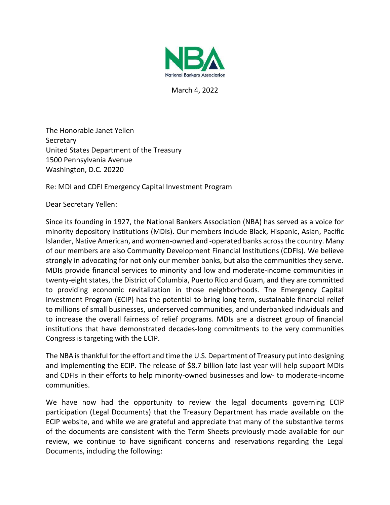

March 4, 2022

The Honorable Janet Yellen **Secretary** United States Department of the Treasury 1500 Pennsylvania Avenue Washington, D.C. 20220

Re: MDI and CDFI Emergency Capital Investment Program

Dear Secretary Yellen:

Since its founding in 1927, the National Bankers Association (NBA) has served as a voice for minority depository institutions (MDIs). Our members include Black, Hispanic, Asian, Pacific Islander, Native American, and women-owned and -operated banks across the country. Many of our members are also Community Development Financial Institutions (CDFIs). We believe strongly in advocating for not only our member banks, but also the communities they serve. MDIs provide financial services to minority and low and moderate-income communities in twenty-eight states, the District of Columbia, Puerto Rico and Guam, and they are committed to providing economic revitalization in those neighborhoods. The Emergency Capital Investment Program (ECIP) has the potential to bring long-term, sustainable financial relief to millions of small businesses, underserved communities, and underbanked individuals and to increase the overall fairness of relief programs. MDIs are a discreet group of financial institutions that have demonstrated decades-long commitments to the very communities Congress is targeting with the ECIP.

The NBA is thankful for the effort and time the U.S. Department of Treasury put into designing and implementing the ECIP. The release of \$8.7 billion late last year will help support MDIs and CDFIs in their efforts to help minority-owned businesses and low- to moderate-income communities.

We have now had the opportunity to review the legal documents governing ECIP participation (Legal Documents) that the Treasury Department has made available on the ECIP website, and while we are grateful and appreciate that many of the substantive terms of the documents are consistent with the Term Sheets previously made available for our review, we continue to have significant concerns and reservations regarding the Legal Documents, including the following: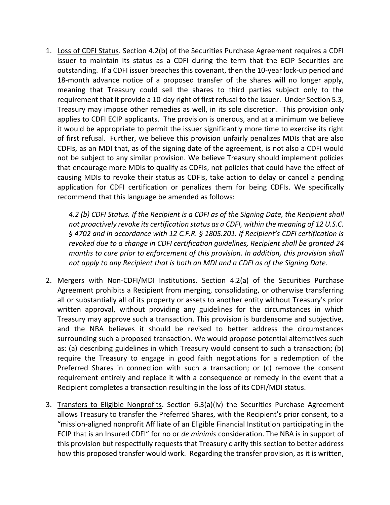1. Loss of CDFI Status. Section 4.2(b) of the Securities Purchase Agreement requires a CDFI issuer to maintain its status as a CDFI during the term that the ECIP Securities are outstanding. If a CDFI issuer breaches this covenant, then the 10-year lock-up period and 18-month advance notice of a proposed transfer of the shares will no longer apply, meaning that Treasury could sell the shares to third parties subject only to the requirement that it provide a 10-day right of first refusal to the issuer. Under Section 5.3, Treasury may impose other remedies as well, in its sole discretion. This provision only applies to CDFI ECIP applicants. The provision is onerous, and at a minimum we believe it would be appropriate to permit the issuer significantly more time to exercise its right of first refusal. Further, we believe this provision unfairly penalizes MDIs that are also CDFIs, as an MDI that, as of the signing date of the agreement, is not also a CDFI would not be subject to any similar provision. We believe Treasury should implement policies that encourage more MDIs to qualify as CDFIs, not policies that could have the effect of causing MDIs to revoke their status as CDFIs, take action to delay or cancel a pending application for CDFI certification or penalizes them for being CDFIs. We specifically recommend that this language be amended as follows:

*4.2 (b) CDFI Status. If the Recipient is a CDFI as of the Signing Date, the Recipient shall not proactively revoke its certification status as a CDFI, within the meaning of 12 U.S.C. § 4702 and in accordance with 12 C.F.R. § 1805.201. If Recipient's CDFI certification is revoked due to a change in CDFI certification guidelines, Recipient shall be granted 24 months to cure prior to enforcement of this provision. In addition, this provision shall not apply to any Recipient that is both an MDI and a CDFI as of the Signing Date.*

- 2. Mergers with Non-CDFI/MDI Institutions. Section 4.2(a) of the Securities Purchase Agreement prohibits a Recipient from merging, consolidating, or otherwise transferring all or substantially all of its property or assets to another entity without Treasury's prior written approval, without providing any guidelines for the circumstances in which Treasury may approve such a transaction. This provision is burdensome and subjective, and the NBA believes it should be revised to better address the circumstances surrounding such a proposed transaction. We would propose potential alternatives such as: (a) describing guidelines in which Treasury would consent to such a transaction; (b) require the Treasury to engage in good faith negotiations for a redemption of the Preferred Shares in connection with such a transaction; or (c) remove the consent requirement entirely and replace it with a consequence or remedy in the event that a Recipient completes a transaction resulting in the loss of its CDFI/MDI status.
- 3. Transfers to Eligible Nonprofits. Section 6.3(a)(iv) the Securities Purchase Agreement allows Treasury to transfer the Preferred Shares, with the Recipient's prior consent, to a "mission-aligned nonprofit Affiliate of an Eligible Financial Institution participating in the ECIP that is an Insured CDFI" for no or *de minimis* consideration. The NBA is in support of this provision but respectfully requests that Treasury clarify this section to better address how this proposed transfer would work. Regarding the transfer provision, as it is written,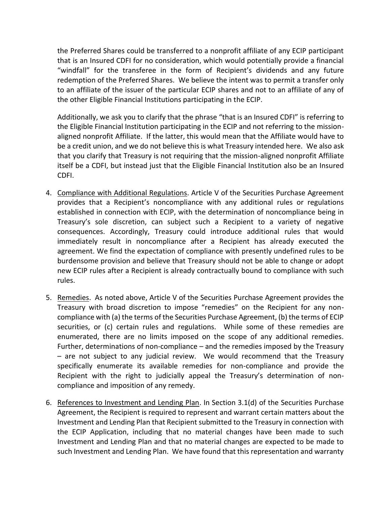the Preferred Shares could be transferred to a nonprofit affiliate of any ECIP participant that is an Insured CDFI for no consideration, which would potentially provide a financial "windfall" for the transferee in the form of Recipient's dividends and any future redemption of the Preferred Shares. We believe the intent was to permit a transfer only to an affiliate of the issuer of the particular ECIP shares and not to an affiliate of any of the other Eligible Financial Institutions participating in the ECIP.

Additionally, we ask you to clarify that the phrase "that is an Insured CDFI" is referring to the Eligible Financial Institution participating in the ECIP and not referring to the missionaligned nonprofit Affiliate. If the latter, this would mean that the Affiliate would have to be a credit union, and we do not believe this is what Treasury intended here. We also ask that you clarify that Treasury is not requiring that the mission-aligned nonprofit Affiliate itself be a CDFI, but instead just that the Eligible Financial Institution also be an Insured CDFI.

- 4. Compliance with Additional Regulations. Article V of the Securities Purchase Agreement provides that a Recipient's noncompliance with any additional rules or regulations established in connection with ECIP, with the determination of noncompliance being in Treasury's sole discretion, can subject such a Recipient to a variety of negative consequences. Accordingly, Treasury could introduce additional rules that would immediately result in noncompliance after a Recipient has already executed the agreement. We find the expectation of compliance with presently undefined rules to be burdensome provision and believe that Treasury should not be able to change or adopt new ECIP rules after a Recipient is already contractually bound to compliance with such rules.
- 5. Remedies. As noted above, Article V of the Securities Purchase Agreement provides the Treasury with broad discretion to impose "remedies" on the Recipient for any noncompliance with (a) the terms of the Securities Purchase Agreement, (b) the terms of ECIP securities, or (c) certain rules and regulations. While some of these remedies are enumerated, there are no limits imposed on the scope of any additional remedies. Further, determinations of non-compliance – and the remedies imposed by the Treasury – are not subject to any judicial review. We would recommend that the Treasury specifically enumerate its available remedies for non-compliance and provide the Recipient with the right to judicially appeal the Treasury's determination of noncompliance and imposition of any remedy.
- 6. References to Investment and Lending Plan. In Section 3.1(d) of the Securities Purchase Agreement, the Recipient is required to represent and warrant certain matters about the Investment and Lending Plan that Recipient submitted to the Treasury in connection with the ECIP Application, including that no material changes have been made to such Investment and Lending Plan and that no material changes are expected to be made to such Investment and Lending Plan. We have found that this representation and warranty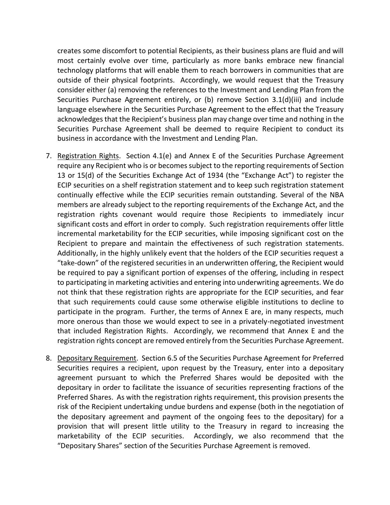creates some discomfort to potential Recipients, as their business plans are fluid and will most certainly evolve over time, particularly as more banks embrace new financial technology platforms that will enable them to reach borrowers in communities that are outside of their physical footprints. Accordingly, we would request that the Treasury consider either (a) removing the references to the Investment and Lending Plan from the Securities Purchase Agreement entirely, or (b) remove Section 3.1(d)(iii) and include language elsewhere in the Securities Purchase Agreement to the effect that the Treasury acknowledges that the Recipient's business plan may change over time and nothing in the Securities Purchase Agreement shall be deemed to require Recipient to conduct its business in accordance with the Investment and Lending Plan.

- 7. Registration Rights. Section 4.1(e) and Annex E of the Securities Purchase Agreement require any Recipient who is or becomes subject to the reporting requirements of Section 13 or 15(d) of the Securities Exchange Act of 1934 (the "Exchange Act") to register the ECIP securities on a shelf registration statement and to keep such registration statement continually effective while the ECIP securities remain outstanding. Several of the NBA members are already subject to the reporting requirements of the Exchange Act, and the registration rights covenant would require those Recipients to immediately incur significant costs and effort in order to comply. Such registration requirements offer little incremental marketability for the ECIP securities, while imposing significant cost on the Recipient to prepare and maintain the effectiveness of such registration statements. Additionally, in the highly unlikely event that the holders of the ECIP securities request a "take-down" of the registered securities in an underwritten offering, the Recipient would be required to pay a significant portion of expenses of the offering, including in respect to participating in marketing activities and entering into underwriting agreements. We do not think that these registration rights are appropriate for the ECIP securities, and fear that such requirements could cause some otherwise eligible institutions to decline to participate in the program. Further, the terms of Annex E are, in many respects, much more onerous than those we would expect to see in a privately-negotiated investment that included Registration Rights. Accordingly, we recommend that Annex E and the registration rights concept are removed entirely from the Securities Purchase Agreement.
- 8. Depositary Requirement. Section 6.5 of the Securities Purchase Agreement for Preferred Securities requires a recipient, upon request by the Treasury, enter into a depositary agreement pursuant to which the Preferred Shares would be deposited with the depositary in order to facilitate the issuance of securities representing fractions of the Preferred Shares. As with the registration rights requirement, this provision presents the risk of the Recipient undertaking undue burdens and expense (both in the negotiation of the depositary agreement and payment of the ongoing fees to the depositary) for a provision that will present little utility to the Treasury in regard to increasing the marketability of the ECIP securities. Accordingly, we also recommend that the "Depositary Shares" section of the Securities Purchase Agreement is removed.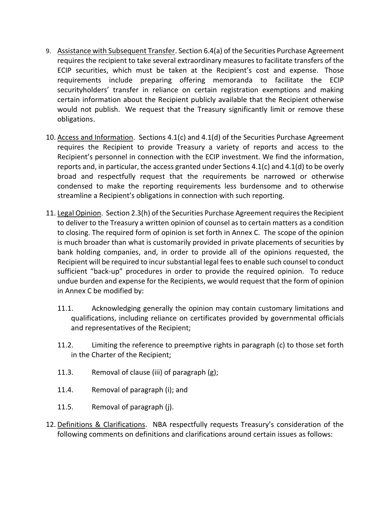- 9. Assistance with Subsequent Transfer. Section 6.4(a) of the Securities Purchase Agreement requires the recipient to take several extraordinary measures to facilitate transfers of the ECIP securities, which must be taken at the Recipient's cost and expense. Those requirements include preparing offering memoranda to facilitate the ECIP securityholders' transfer in reliance on certain registration exemptions and making certain information about the Recipient publicly available that the Recipient otherwise would not publish. We request that the Treasury significantly limit or remove these obligations.
- 10. Access and Information. Sections 4.1(c) and 4.1(d) of the Securities Purchase Agreement requires the Recipient to provide Treasury a variety of reports and access to the Recipient's personnel in connection with the ECIP investment. We find the information, reports and, in particular, the access granted under Sections  $4.1(c)$  and  $4.1(d)$  to be overly broad and respectfully request that the requirements be narrowed or otherwise condensed to make the reporting requirements less burdensome and to otherwise streamline a Recipient's obligations in connection with such reporting.
- 11. Legal Opinion. Section 2.3(h) of the Securities Purchase Agreement requires the Recipient to deliver to the Treasury a written opinion of counsel as to certain matters as a condition to closing. The required form of opinion is set forth in Annex C. The scope of the opinion is much broader than what is customarily provided in private placements of securities by bank holding companies, and, in order to provide all of the opinions requested, the Recipient will be required to incur substantial legal fees to enable such counsel to conduct sufficient "back-up" procedures in order to provide the required opinion. To reduce undue burden and expense for the Recipients, we would request that the form of opinion in Annex C be modified by:
	- 11.1. Acknowledging generally the opinion may contain customary limitations and qualifications, including reliance on certificates provided by governmental officials and representatives of the Recipient;
	- 11.2. Limiting the reference to preemptive rights in paragraph (c) to those set forth in the Charter of the Recipient;
	- 11.3. Removal of clause (iii) of paragraph (g);
	- 11.4. Removal of paragraph (i); and
	- 11.5. Removal of paragraph (j).
- 12. Definitions & Clarifications. NBA respectfully requests Treasury's consideration of the following comments on definitions and clarifications around certain issues as follows: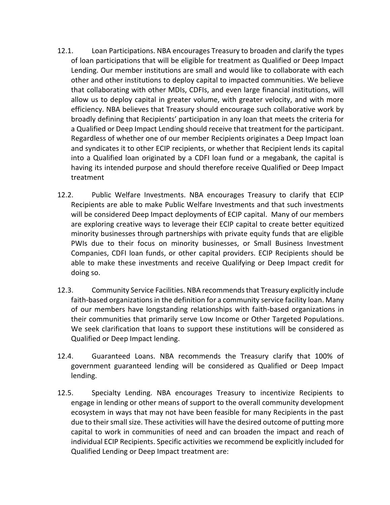- 12.1. Loan Participations. NBA encourages Treasury to broaden and clarify the types of loan participations that will be eligible for treatment as Qualified or Deep Impact Lending. Our member institutions are small and would like to collaborate with each other and other institutions to deploy capital to impacted communities. We believe that collaborating with other MDIs, CDFIs, and even large financial institutions, will allow us to deploy capital in greater volume, with greater velocity, and with more efficiency. NBA believes that Treasury should encourage such collaborative work by broadly defining that Recipients' participation in any loan that meets the criteria for a Qualified or Deep Impact Lending should receive that treatment for the participant. Regardless of whether one of our member Recipients originates a Deep Impact loan and syndicates it to other ECIP recipients, or whether that Recipient lends its capital into a Qualified loan originated by a CDFI loan fund or a megabank, the capital is having its intended purpose and should therefore receive Qualified or Deep Impact treatment
- 12.2. Public Welfare Investments. NBA encourages Treasury to clarify that ECIP Recipients are able to make Public Welfare Investments and that such investments will be considered Deep Impact deployments of ECIP capital. Many of our members are exploring creative ways to leverage their ECIP capital to create better equitized minority businesses through partnerships with private equity funds that are eligible PWIs due to their focus on minority businesses, or Small Business Investment Companies, CDFI loan funds, or other capital providers. ECIP Recipients should be able to make these investments and receive Qualifying or Deep Impact credit for doing so.
- 12.3. Community Service Facilities. NBA recommends that Treasury explicitly include faith-based organizations in the definition for a community service facility loan. Many of our members have longstanding relationships with faith-based organizations in their communities that primarily serve Low Income or Other Targeted Populations. We seek clarification that loans to support these institutions will be considered as Qualified or Deep Impact lending.
- 12.4. Guaranteed Loans. NBA recommends the Treasury clarify that 100% of government guaranteed lending will be considered as Qualified or Deep Impact lending.
- 12.5. Specialty Lending. NBA encourages Treasury to incentivize Recipients to engage in lending or other means of support to the overall community development ecosystem in ways that may not have been feasible for many Recipients in the past due to their small size. These activities will have the desired outcome of putting more capital to work in communities of need and can broaden the impact and reach of individual ECIP Recipients. Specific activities we recommend be explicitly included for Qualified Lending or Deep Impact treatment are: